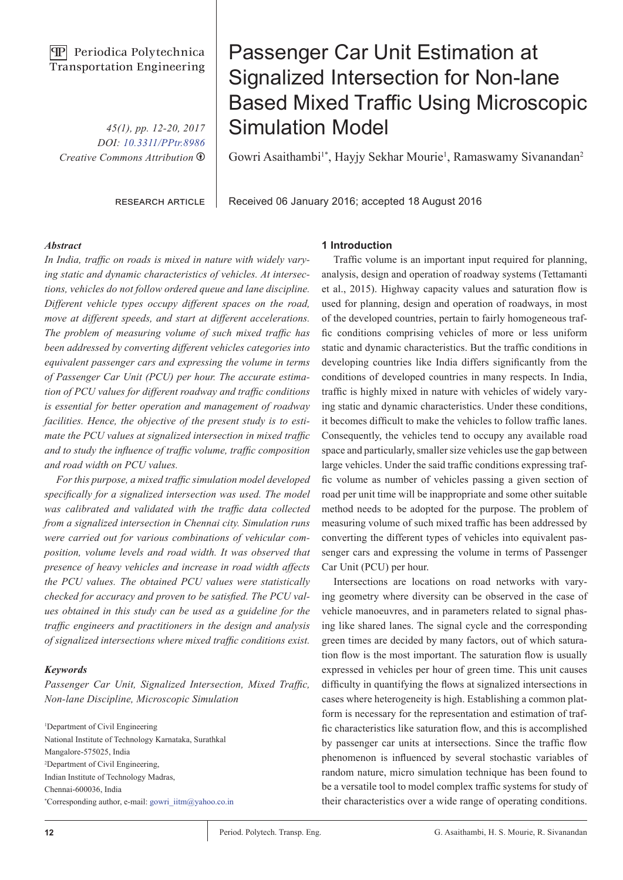## **PP** Periodica Polytechnica Transportation Engineering

*45(1), pp. 12-20, 2017 DOI: [10.3311/PPtr.8986](https://doi.org/10.3311/PPtr.8986) Creative Commons Attribution* b

research article

# Passenger Car Unit Estimation at Signalized Intersection for Non-lane Based Mixed Traffic Using Microscopic Simulation Model

Gowri Asaithambi<sup>1\*</sup>, Hayjy Sekhar Mourie<sup>1</sup>, Ramaswamy Sivanandan<sup>2</sup>

Received 06 January 2016; accepted 18 August 2016

#### *Abstract*

*In India, traffic on roads is mixed in nature with widely varying static and dynamic characteristics of vehicles. At intersections, vehicles do not follow ordered queue and lane discipline. Different vehicle types occupy different spaces on the road, move at different speeds, and start at different accelerations. The problem of measuring volume of such mixed traffic has been addressed by converting different vehicles categories into equivalent passenger cars and expressing the volume in terms of Passenger Car Unit (PCU) per hour. The accurate estimation of PCU values for different roadway and traffic conditions is essential for better operation and management of roadway facilities. Hence, the objective of the present study is to estimate the PCU values at signalized intersection in mixed traffic and to study the influence of traffic volume, traffic composition and road width on PCU values.*

*For this purpose, a mixed traffic simulation model developed specifically for a signalized intersection was used. The model was calibrated and validated with the traffic data collected from a signalized intersection in Chennai city. Simulation runs were carried out for various combinations of vehicular composition, volume levels and road width. It was observed that presence of heavy vehicles and increase in road width affects the PCU values. The obtained PCU values were statistically checked for accuracy and proven to be satisfied. The PCU values obtained in this study can be used as a guideline for the traffic engineers and practitioners in the design and analysis of signalized intersections where mixed traffic conditions exist.* 

#### *Keywords*

*Passenger Car Unit, Signalized Intersection, Mixed Traffic, Non-lane Discipline, Microscopic Simulation*

1 Department of Civil Engineering National Institute of Technology Karnataka, Surathkal Mangalore-575025, India 2 Department of Civil Engineering, Indian Institute of Technology Madras, Chennai-600036, India \* Corresponding author, e-mail: gowri\_iitm@yahoo.co.in

#### **1 Introduction**

Traffic volume is an important input required for planning, analysis, design and operation of roadway systems (Tettamanti et al., 2015). Highway capacity values and saturation flow is used for planning, design and operation of roadways, in most of the developed countries, pertain to fairly homogeneous traffic conditions comprising vehicles of more or less uniform static and dynamic characteristics. But the traffic conditions in developing countries like India differs significantly from the conditions of developed countries in many respects. In India, traffic is highly mixed in nature with vehicles of widely varying static and dynamic characteristics. Under these conditions, it becomes difficult to make the vehicles to follow traffic lanes. Consequently, the vehicles tend to occupy any available road space and particularly, smaller size vehicles use the gap between large vehicles. Under the said traffic conditions expressing traffic volume as number of vehicles passing a given section of road per unit time will be inappropriate and some other suitable method needs to be adopted for the purpose. The problem of measuring volume of such mixed traffic has been addressed by converting the different types of vehicles into equivalent passenger cars and expressing the volume in terms of Passenger Car Unit (PCU) per hour.

Intersections are locations on road networks with varying geometry where diversity can be observed in the case of vehicle manoeuvres, and in parameters related to signal phasing like shared lanes. The signal cycle and the corresponding green times are decided by many factors, out of which saturation flow is the most important. The saturation flow is usually expressed in vehicles per hour of green time. This unit causes difficulty in quantifying the flows at signalized intersections in cases where heterogeneity is high. Establishing a common platform is necessary for the representation and estimation of traffic characteristics like saturation flow, and this is accomplished by passenger car units at intersections. Since the traffic flow phenomenon is influenced by several stochastic variables of random nature, micro simulation technique has been found to be a versatile tool to model complex traffic systems for study of their characteristics over a wide range of operating conditions.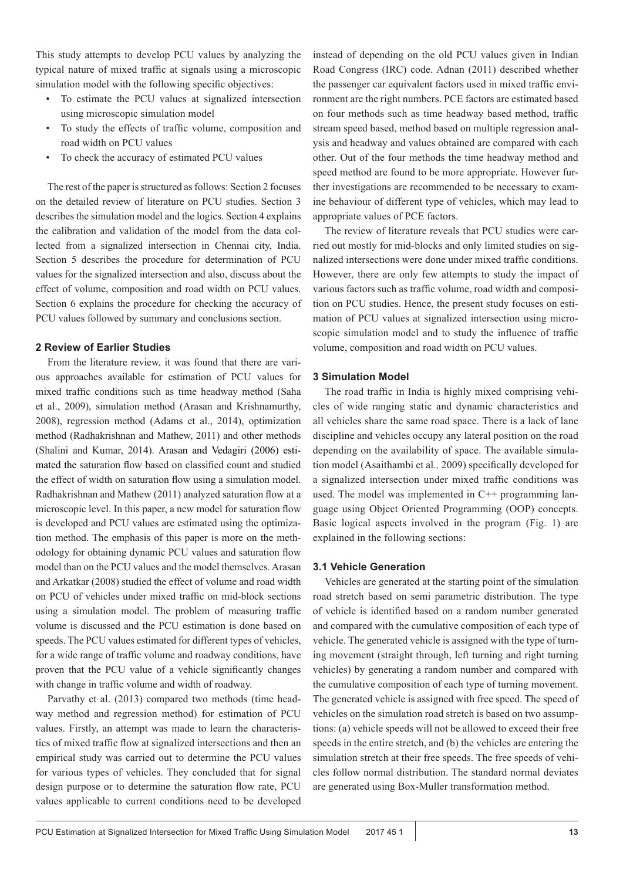This study attempts to develop PCU values by analyzing the typical nature of mixed traffic at signals using a microscopic simulation model with the following specific objectives:

- To estimate the PCU values at signalized intersection using microscopic simulation model
- To study the effects of traffic volume, composition and road width on PCU values
- To check the accuracy of estimated PCU values

The rest of the paper is structured as follows: Section 2 focuses on the detailed review of literature on PCU studies. Section 3 describes the simulation model and the logics. Section 4 explains the calibration and validation of the model from the data collected from a signalized intersection in Chennai city, India. Section 5 describes the procedure for determination of PCU values for the signalized intersection and also, discuss about the effect of volume, composition and road width on PCU values. Section 6 explains the procedure for checking the accuracy of PCU values followed by summary and conclusions section.

## **2 Review of Earlier Studies**

From the literature review, it was found that there are various approaches available for estimation of PCU values for mixed traffic conditions such as time headway method (Saha et al., 2009), simulation method (Arasan and Krishnamurthy, 2008), regression method (Adams et al., 2014), optimization method (Radhakrishnan and Mathew, 2011) and other methods (Shalini and Kumar, 2014). Arasan and Vedagiri (2006) estimated the saturation flow based on classified count and studied the effect of width on saturation flow using a simulation model. Radhakrishnan and Mathew (2011) analyzed saturation flow at a microscopic level. In this paper, a new model for saturation flow is developed and PCU values are estimated using the optimization method. The emphasis of this paper is more on the methodology for obtaining dynamic PCU values and saturation flow model than on the PCU values and the model themselves. Arasan and Arkatkar (2008) studied the effect of volume and road width on PCU of vehicles under mixed traffic on mid-block sections using a simulation model. The problem of measuring traffic volume is discussed and the PCU estimation is done based on speeds. The PCU values estimated for different types of vehicles, for a wide range of traffic volume and roadway conditions, have proven that the PCU value of a vehicle significantly changes with change in traffic volume and width of roadway.

Parvathy et al. (2013) compared two methods (time headway method and regression method) for estimation of PCU values. Firstly, an attempt was made to learn the characteristics of mixed traffic flow at signalized intersections and then an empirical study was carried out to determine the PCU values for various types of vehicles. They concluded that for signal design purpose or to determine the saturation flow rate, PCU values applicable to current conditions need to be developed

instead of depending on the old PCU values given in Indian Road Congress (IRC) code. Adnan (2011) described whether the passenger car equivalent factors used in mixed traffic environment are the right numbers. PCE factors are estimated based on four methods such as time headway based method, traffic stream speed based, method based on multiple regression analysis and headway and values obtained are compared with each other. Out of the four methods the time headway method and speed method are found to be more appropriate. However further investigations are recommended to be necessary to examine behaviour of different type of vehicles, which may lead to appropriate values of PCE factors.

The review of literature reveals that PCU studies were carried out mostly for mid-blocks and only limited studies on signalized intersections were done under mixed traffic conditions. However, there are only few attempts to study the impact of various factors such as traffic volume, road width and composition on PCU studies. Hence, the present study focuses on estimation of PCU values at signalized intersection using microscopic simulation model and to study the influence of traffic volume, composition and road width on PCU values.

#### **3 Simulation Model**

The road traffic in India is highly mixed comprising vehicles of wide ranging static and dynamic characteristics and all vehicles share the same road space. There is a lack of lane discipline and vehicles occupy any lateral position on the road depending on the availability of space. The available simulation model (Asaithambi et al*.,* 2009) specifically developed for a signalized intersection under mixed traffic conditions was used. The model was implemented in  $C^{++}$  programming language using Object Oriented Programming (OOP) concepts. Basic logical aspects involved in the program (Fig. 1) are explained in the following sections:

#### **3.1 Vehicle Generation**

Vehicles are generated at the starting point of the simulation road stretch based on semi parametric distribution. The type of vehicle is identified based on a random number generated and compared with the cumulative composition of each type of vehicle. The generated vehicle is assigned with the type of turning movement (straight through, left turning and right turning vehicles) by generating a random number and compared with the cumulative composition of each type of turning movement. The generated vehicle is assigned with free speed. The speed of vehicles on the simulation road stretch is based on two assumptions: (a) vehicle speeds will not be allowed to exceed their free speeds in the entire stretch, and (b) the vehicles are entering the simulation stretch at their free speeds. The free speeds of vehicles follow normal distribution. The standard normal deviates are generated using Box-Muller transformation method.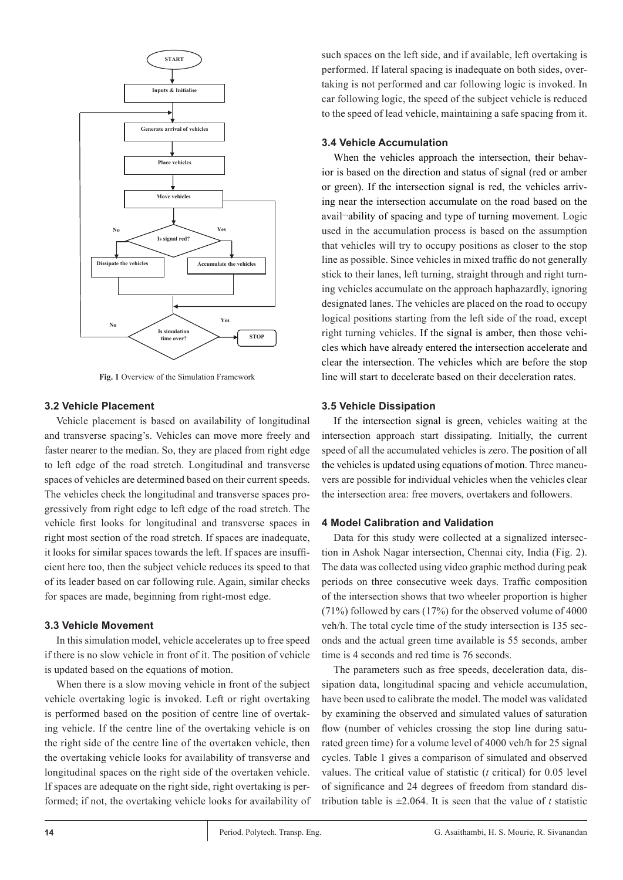

**Fig. 1** Overview of the Simulation Framework

#### **3.2 Vehicle Placement**

Vehicle placement is based on availability of longitudinal and transverse spacing's. Vehicles can move more freely and faster nearer to the median. So, they are placed from right edge to left edge of the road stretch. Longitudinal and transverse spaces of vehicles are determined based on their current speeds. The vehicles check the longitudinal and transverse spaces progressively from right edge to left edge of the road stretch. The vehicle first looks for longitudinal and transverse spaces in right most section of the road stretch. If spaces are inadequate, it looks for similar spaces towards the left. If spaces are insufficient here too, then the subject vehicle reduces its speed to that of its leader based on car following rule. Again, similar checks for spaces are made, beginning from right-most edge.

#### **3.3 Vehicle Movement**

In this simulation model, vehicle accelerates up to free speed if there is no slow vehicle in front of it. The position of vehicle is updated based on the equations of motion.

When there is a slow moving vehicle in front of the subject vehicle overtaking logic is invoked. Left or right overtaking is performed based on the position of centre line of overtaking vehicle. If the centre line of the overtaking vehicle is on the right side of the centre line of the overtaken vehicle, then the overtaking vehicle looks for availability of transverse and longitudinal spaces on the right side of the overtaken vehicle. If spaces are adequate on the right side, right overtaking is performed; if not, the overtaking vehicle looks for availability of

such spaces on the left side, and if available, left overtaking is performed. If lateral spacing is inadequate on both sides, overtaking is not performed and car following logic is invoked. In car following logic, the speed of the subject vehicle is reduced to the speed of lead vehicle, maintaining a safe spacing from it.

## **3.4 Vehicle Accumulation**

When the vehicles approach the intersection, their behavior is based on the direction and status of signal (red or amber or green). If the intersection signal is red, the vehicles arriving near the intersection accumulate on the road based on the avail¬ability of spacing and type of turning movement. Logic used in the accumulation process is based on the assumption that vehicles will try to occupy positions as closer to the stop line as possible. Since vehicles in mixed traffic do not generally stick to their lanes, left turning, straight through and right turning vehicles accumulate on the approach haphazardly, ignoring designated lanes. The vehicles are placed on the road to occupy logical positions starting from the left side of the road, except right turning vehicles. If the signal is amber, then those vehicles which have already entered the intersection accelerate and clear the intersection. The vehicles which are before the stop line will start to decelerate based on their deceleration rates.

#### **3.5 Vehicle Dissipation**

If the intersection signal is green, vehicles waiting at the intersection approach start dissipating. Initially, the current speed of all the accumulated vehicles is zero. The position of all the vehicles is updated using equations of motion. Three maneuvers are possible for individual vehicles when the vehicles clear the intersection area: free movers, overtakers and followers.

## **4 Model Calibration and Validation**

Data for this study were collected at a signalized intersection in Ashok Nagar intersection, Chennai city, India (Fig. 2). The data was collected using video graphic method during peak periods on three consecutive week days. Traffic composition of the intersection shows that two wheeler proportion is higher (71%) followed by cars (17%) for the observed volume of 4000 veh/h. The total cycle time of the study intersection is 135 seconds and the actual green time available is 55 seconds, amber time is 4 seconds and red time is 76 seconds.

The parameters such as free speeds, deceleration data, dissipation data, longitudinal spacing and vehicle accumulation, have been used to calibrate the model. The model was validated by examining the observed and simulated values of saturation flow (number of vehicles crossing the stop line during saturated green time) for a volume level of 4000 veh/h for 25 signal cycles. Table 1 gives a comparison of simulated and observed values. The critical value of statistic (*t* critical) for 0.05 level of significance and 24 degrees of freedom from standard distribution table is  $\pm 2.064$ . It is seen that the value of *t* statistic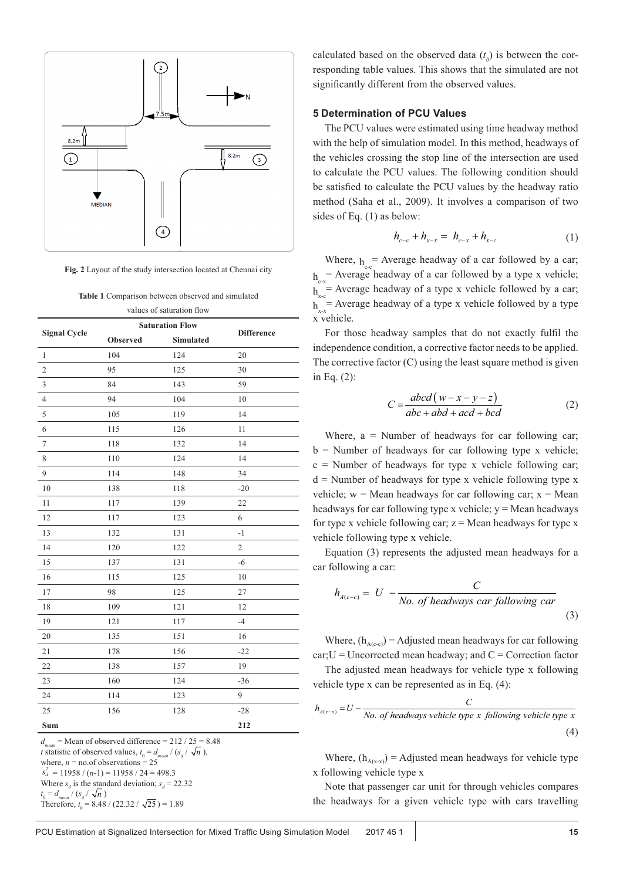

**Fig. 2** Layout of the study intersection located at Chennai city

| values of saturation flow<br><b>Saturation Flow</b> |          |           |                   |  |  |  |
|-----------------------------------------------------|----------|-----------|-------------------|--|--|--|
| <b>Signal Cycle</b>                                 | Observed | Simulated | <b>Difference</b> |  |  |  |
| $\mathbf{1}$                                        | 104      | 124       | 20                |  |  |  |
| $\overline{2}$                                      | 95       | 125       | 30                |  |  |  |
| 3                                                   | 84       | 143       | 59                |  |  |  |
| 4                                                   | 94       | 104       | 10                |  |  |  |
| 5                                                   | 105      | 119       | 14                |  |  |  |
| 6                                                   | 115      | 126       | 11                |  |  |  |
| $\tau$                                              | 118      | 132       | 14                |  |  |  |
| $\,$ 8 $\,$                                         | 110      | 124       | 14                |  |  |  |
| 9                                                   | 114      | 148       | 34                |  |  |  |
| 10                                                  | 138      | 118       | $-20$             |  |  |  |
| 11                                                  | 117      | 139       | 22                |  |  |  |
| 12                                                  | 117      | 123       | 6                 |  |  |  |
| 13                                                  | 132      | 131       | $-1$              |  |  |  |
| 14                                                  | 120      | 122       | $\overline{c}$    |  |  |  |
| 15                                                  | 137      | 131       | $-6$              |  |  |  |
| 16                                                  | 115      | 125       | 10                |  |  |  |
| 17                                                  | 98       | 125       | 27                |  |  |  |
| 18                                                  | 109      | 121       | 12                |  |  |  |
| 19                                                  | 121      | 117       | $-4$              |  |  |  |
| 20                                                  | 135      | 151       | 16                |  |  |  |
| 21                                                  | 178      | 156       | $-22$             |  |  |  |
| 22                                                  | 138      | 157       | 19                |  |  |  |
| 23                                                  | 160      | 124       | $-36$             |  |  |  |
| 24                                                  | 114      | 123       | 9                 |  |  |  |
| 25                                                  | 156      | 128       | $-28$             |  |  |  |
| Sum                                                 |          |           | 212               |  |  |  |

 $d_{\text{mean}}$  = Mean of observed difference = 212 / 25 = 8.48 *t* statistic of observed values,  $t_0 = d_{mean} / (s_d / \sqrt{n})$ , where,  $n =$  no.of observations  $= 25$  $s_d^2 = 11958 / (n-1) = 11958 / 24 = 498.3$ Where  $s_d$  is the standard deviation;  $s_d = 22.32$  $t_0 = d_{mean} / (s_d / \sqrt{n})$ Therefore,  $t_0 = 8.48 / (22.32 / \sqrt{25}) = 1.89$ 

calculated based on the observed data  $(t_0)$  is between the corresponding table values. This shows that the simulated are not significantly different from the observed values.

#### **5 Determination of PCU Values**

The PCU values were estimated using time headway method with the help of simulation model. In this method, headways of the vehicles crossing the stop line of the intersection are used to calculate the PCU values. The following condition should be satisfied to calculate the PCU values by the headway ratio method (Saha et al., 2009). It involves a comparison of two sides of Eq. (1) as below:

$$
h_{c-c} + h_{x-x} = h_{c-x} + h_{x-c} \tag{1}
$$

Where,  $h =$  Average headway of a car followed by a car;  $h_{\alpha}$  = Average headway of a car followed by a type x vehicle;  $h_{xx}$  = Average headway of a type x vehicle followed by a car;  $h_{xx}^{\infty}$ = Average headway of a type x vehicle followed by a type x vehicle.

For those headway samples that do not exactly fulfil the independence condition, a corrective factor needs to be applied. The corrective factor (C) using the least square method is given in Eq. (2):

$$
C = \frac{abcd(w-x-y-z)}{abc + abd + acd + bcd}
$$
 (2)

Where,  $a =$  Number of headways for car following car;  $b =$  Number of headways for car following type x vehicle;  $c =$  Number of headways for type x vehicle following car;  $d$  = Number of headways for type x vehicle following type x vehicle;  $w = Mean$  headways for car following car;  $x = Mean$ headways for car following type x vehicle;  $y = Me$ an headways for type x vehicle following car;  $z =$  Mean headways for type x vehicle following type x vehicle.

Equation (3) represents the adjusted mean headways for a car following a car:

$$
h_{A(c-c)} = U - \frac{C}{No. \ of \ headways \ car \ following \ car}
$$
\n(3)

Where,  $(h_{A(c-c)})$  = Adjusted mean headways for car following  $car; U =$  Uncorrected mean headway; and  $C =$  Correction factor

The adjusted mean headways for vehicle type x following vehicle type x can be represented as in Eq. (4):

$$
h_{A(x-x)} = U - \frac{C}{No. \ of \ headways \ vehicle \ type \ x \ following \ vehicle \ type \ x}
$$
\n
$$
\tag{4}
$$

Where,  $(h_{A(x-x)})$  = Adjusted mean headways for vehicle type x following vehicle type x

Note that passenger car unit for through vehicles compares the headways for a given vehicle type with cars travelling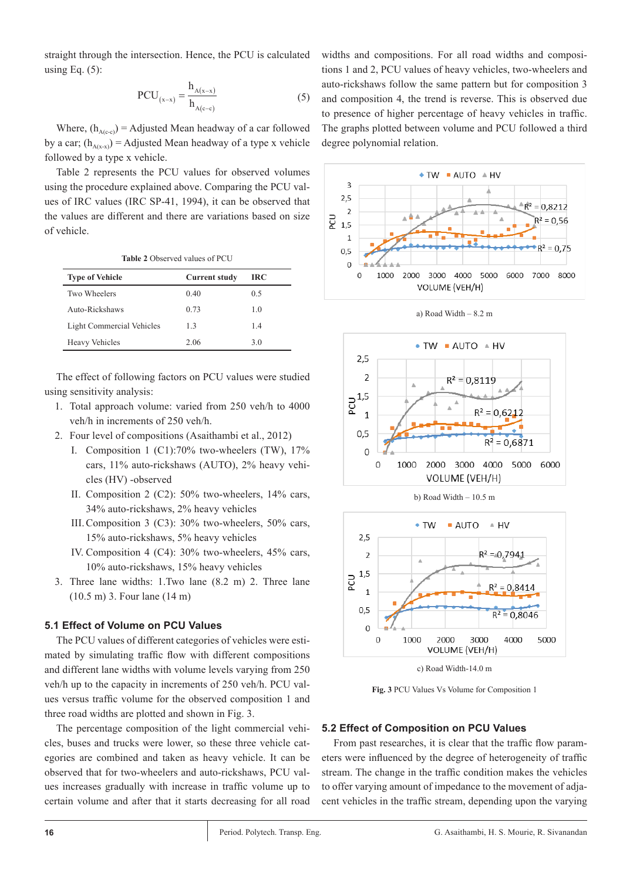straight through the intersection. Hence, the PCU is calculated using Eq.  $(5)$ :

$$
PCU_{(x-x)} = \frac{h_{A(x-x)}}{h_{A(c-c)}}\tag{5}
$$

Where,  $(h_{A(c-c)})$  = Adjusted Mean headway of a car followed by a car;  $(h_{A(x,x)})$  = Adjusted Mean headway of a type x vehicle followed by a type x vehicle.

Table 2 represents the PCU values for observed volumes using the procedure explained above. Comparing the PCU values of IRC values (IRC SP-41, 1994), it can be observed that the values are different and there are variations based on size of vehicle.

| <b>Table 2 Observed values of PCU</b> |                      |     |  |  |  |
|---------------------------------------|----------------------|-----|--|--|--|
| <b>Type of Vehicle</b>                | <b>Current study</b> | IRC |  |  |  |
| Two Wheelers                          | 0.40                 | 0.5 |  |  |  |
| Auto-Rickshaws                        | 0.73                 | 1.0 |  |  |  |
| Light Commercial Vehicles             | 13                   | 1.4 |  |  |  |
| <b>Heavy Vehicles</b>                 | 2.06                 | 3.0 |  |  |  |

The effect of following factors on PCU values were studied using sensitivity analysis:

- 1. Total approach volume: varied from 250 veh/h to 4000 veh/h in increments of 250 veh/h.
- 2. Four level of compositions (Asaithambi et al., 2012)
	- I. Composition 1 (C1):70% two-wheelers (TW), 17% cars, 11% auto-rickshaws (AUTO), 2% heavy vehicles (HV) -observed
	- II. Composition 2 (C2): 50% two-wheelers, 14% cars, 34% auto-rickshaws, 2% heavy vehicles
	- III.Composition 3 (C3): 30% two-wheelers, 50% cars, 15% auto-rickshaws, 5% heavy vehicles
	- IV. Composition 4 (C4): 30% two-wheelers, 45% cars, 10% auto-rickshaws, 15% heavy vehicles
- 3. Three lane widths: 1.Two lane (8.2 m) 2. Three lane (10.5 m) 3. Four lane (14 m)

## **5.1 Effect of Volume on PCU Values**

The PCU values of different categories of vehicles were estimated by simulating traffic flow with different compositions and different lane widths with volume levels varying from 250 veh/h up to the capacity in increments of 250 veh/h. PCU values versus traffic volume for the observed composition 1 and three road widths are plotted and shown in Fig. 3.

The percentage composition of the light commercial vehicles, buses and trucks were lower, so these three vehicle categories are combined and taken as heavy vehicle. It can be observed that for two-wheelers and auto-rickshaws, PCU values increases gradually with increase in traffic volume up to certain volume and after that it starts decreasing for all road

widths and compositions. For all road widths and compositions 1 and 2, PCU values of heavy vehicles, two-wheelers and auto-rickshaws follow the same pattern but for composition 3 and composition 4, the trend is reverse. This is observed due to presence of higher percentage of heavy vehicles in traffic. The graphs plotted between volume and PCU followed a third degree polynomial relation.











c) Road Width-14.0 m

**Fig. 3** PCU Values Vs Volume for Composition 1

## **5.2 Effect of Composition on PCU Values**

From past researches, it is clear that the traffic flow parameters were influenced by the degree of heterogeneity of traffic stream. The change in the traffic condition makes the vehicles to offer varying amount of impedance to the movement of adjacent vehicles in the traffic stream, depending upon the varying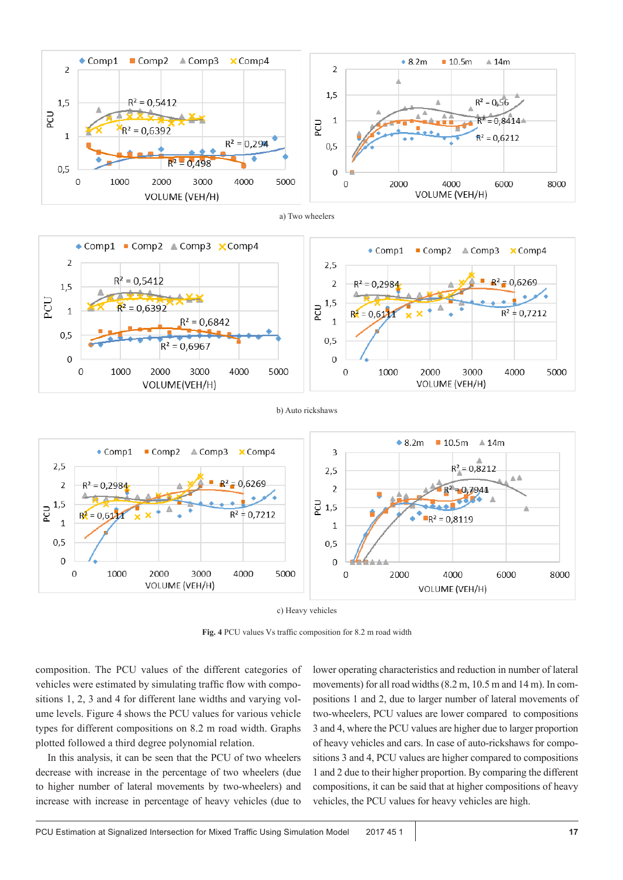





b) Auto rickshaws



c) Heavy vehicles

**Fig. 4** PCU values Vs traffic composition for 8.2 m road width

composition. The PCU values of the different categories of vehicles were estimated by simulating traffic flow with compositions 1, 2, 3 and 4 for different lane widths and varying volume levels. Figure 4 shows the PCU values for various vehicle types for different compositions on 8.2 m road width. Graphs plotted followed a third degree polynomial relation.

In this analysis, it can be seen that the PCU of two wheelers decrease with increase in the percentage of two wheelers (due to higher number of lateral movements by two-wheelers) and increase with increase in percentage of heavy vehicles (due to lower operating characteristics and reduction in number of lateral movements) for all road widths (8.2 m, 10.5 m and 14 m). In compositions 1 and 2, due to larger number of lateral movements of two-wheelers, PCU values are lower compared to compositions 3 and 4, where the PCU values are higher due to larger proportion of heavy vehicles and cars. In case of auto-rickshaws for compositions 3 and 4, PCU values are higher compared to compositions 1 and 2 due to their higher proportion. By comparing the different compositions, it can be said that at higher compositions of heavy vehicles, the PCU values for heavy vehicles are high.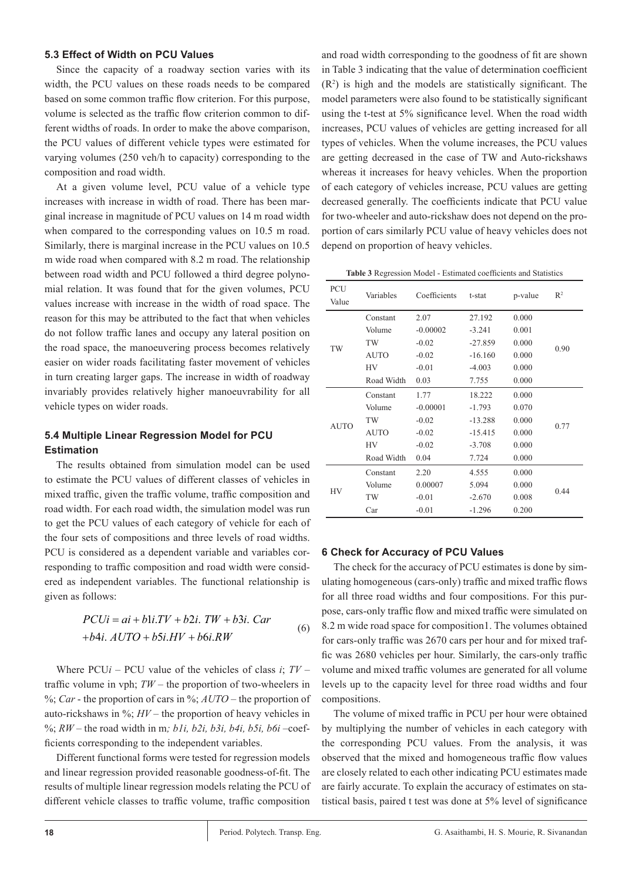#### **5.3 Effect of Width on PCU Values**

Since the capacity of a roadway section varies with its width, the PCU values on these roads needs to be compared based on some common traffic flow criterion. For this purpose, volume is selected as the traffic flow criterion common to different widths of roads. In order to make the above comparison, the PCU values of different vehicle types were estimated for varying volumes (250 veh/h to capacity) corresponding to the composition and road width.

At a given volume level, PCU value of a vehicle type increases with increase in width of road. There has been marginal increase in magnitude of PCU values on 14 m road width when compared to the corresponding values on 10.5 m road. Similarly, there is marginal increase in the PCU values on 10.5 m wide road when compared with 8.2 m road. The relationship between road width and PCU followed a third degree polynomial relation. It was found that for the given volumes, PCU values increase with increase in the width of road space. The reason for this may be attributed to the fact that when vehicles do not follow traffic lanes and occupy any lateral position on the road space, the manoeuvering process becomes relatively easier on wider roads facilitating faster movement of vehicles in turn creating larger gaps. The increase in width of roadway invariably provides relatively higher manoeuvrability for all vehicle types on wider roads.

## **5.4 Multiple Linear Regression Model for PCU Estimation**

The results obtained from simulation model can be used to estimate the PCU values of different classes of vehicles in mixed traffic, given the traffic volume, traffic composition and road width. For each road width, the simulation model was run to get the PCU values of each category of vehicle for each of the four sets of compositions and three levels of road widths. PCU is considered as a dependent variable and variables corresponding to traffic composition and road width were considered as independent variables. The functional relationship is given as follows:

$$
PCUi = ai + bli.TV + b2i. TW + b3i. Car
$$
  
+b4i. AUTO + b5i.HV + b6i.RW (6)

Where PCU*i* – PCU value of the vehicles of class *i*; *TV* – traffic volume in vph; *TW* – the proportion of two-wheelers in %; *Car* - the proportion of cars in %; *AUTO* – the proportion of auto-rickshaws in %; *HV* – the proportion of heavy vehicles in %; *RW* – the road width in m*; b1i, b2i, b3i, b4i, b5i, b6i* –coefficients corresponding to the independent variables.

Different functional forms were tested for regression models and linear regression provided reasonable goodness-of-fit. The results of multiple linear regression models relating the PCU of different vehicle classes to traffic volume, traffic composition and road width corresponding to the goodness of fit are shown in Table 3 indicating that the value of determination coefficient  $(R<sup>2</sup>)$  is high and the models are statistically significant. The model parameters were also found to be statistically significant using the t-test at 5% significance level. When the road width increases, PCU values of vehicles are getting increased for all types of vehicles. When the volume increases, the PCU values are getting decreased in the case of TW and Auto-rickshaws whereas it increases for heavy vehicles. When the proportion of each category of vehicles increase, PCU values are getting decreased generally. The coefficients indicate that PCU value for two-wheeler and auto-rickshaw does not depend on the proportion of cars similarly PCU value of heavy vehicles does not depend on proportion of heavy vehicles.

**Table 3** Regression Model - Estimated coefficients and Statistics

| PCU<br>Value | Variables   | Coefficients | t-stat    | p-value | $R^2$ |  |
|--------------|-------------|--------------|-----------|---------|-------|--|
| TW           | Constant    | 2.07         | 27.192    | 0.000   |       |  |
|              | Volume      | $-0.00002$   | $-3.241$  | 0.001   | 0.90  |  |
|              | TW          | $-0.02$      | $-27.859$ | 0.000   |       |  |
|              | <b>AUTO</b> | $-0.02$      | $-16.160$ | 0.000   |       |  |
|              | HV          | $-0.01$      | $-4.003$  | 0.000   |       |  |
|              | Road Width  | 0.03         | 7.755     | 0.000   |       |  |
| <b>AUTO</b>  | Constant    | 1.77         | 18.222    | 0.000   | 0.77  |  |
|              | Volume      | $-0.00001$   | $-1.793$  | 0.070   |       |  |
|              | TW          | $-0.02$      | $-13.288$ | 0.000   |       |  |
|              | <b>AUTO</b> | $-0.02$      | $-15.415$ | 0.000   |       |  |
|              | <b>HV</b>   | $-0.02$      | $-3.708$  | 0.000   |       |  |
|              | Road Width  | 0.04         | 7.724     | 0.000   |       |  |
| HV           | Constant    | 2.20         | 4.555     | 0.000   | 0.44  |  |
|              | Volume      | 0.00007      | 5.094     | 0.000   |       |  |
|              | TW          | $-0.01$      | $-2.670$  | 0.008   |       |  |
|              | Car         | $-0.01$      | $-1.296$  | 0.200   |       |  |

## **6 Check for Accuracy of PCU Values**

The check for the accuracy of PCU estimates is done by simulating homogeneous (cars-only) traffic and mixed traffic flows for all three road widths and four compositions. For this purpose, cars-only traffic flow and mixed traffic were simulated on 8.2 m wide road space for composition1. The volumes obtained for cars-only traffic was 2670 cars per hour and for mixed traffic was 2680 vehicles per hour. Similarly, the cars-only traffic volume and mixed traffic volumes are generated for all volume levels up to the capacity level for three road widths and four compositions.

The volume of mixed traffic in PCU per hour were obtained by multiplying the number of vehicles in each category with the corresponding PCU values. From the analysis, it was observed that the mixed and homogeneous traffic flow values are closely related to each other indicating PCU estimates made are fairly accurate. To explain the accuracy of estimates on statistical basis, paired t test was done at 5% level of significance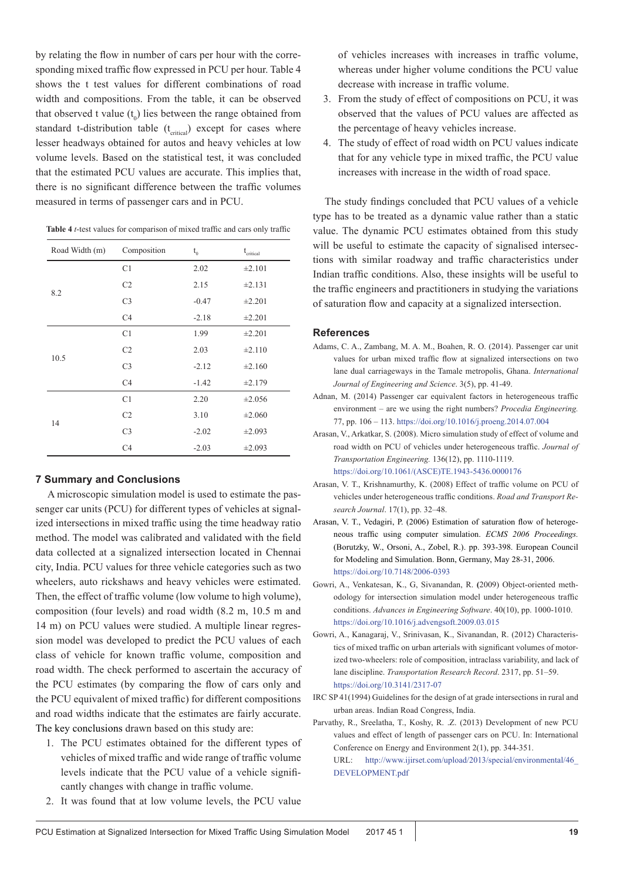by relating the flow in number of cars per hour with the corresponding mixed traffic flow expressed in PCU per hour. Table 4 shows the t test values for different combinations of road width and compositions. From the table, it can be observed that observed t value  $(t_0)$  lies between the range obtained from standard t-distribution table  $(t_{\text{critical}})$  except for cases where lesser headways obtained for autos and heavy vehicles at low volume levels. Based on the statistical test, it was concluded that the estimated PCU values are accurate. This implies that, there is no significant difference between the traffic volumes measured in terms of passenger cars and in PCU.

| Road Width (m) | Composition    | $t_{0}$ | $\rm t_{\rm critical}$ |
|----------------|----------------|---------|------------------------|
|                | C1             | 2.02    | ±2.101                 |
| 8.2            | C <sub>2</sub> | 2.15    | ±2.131                 |
|                | C <sub>3</sub> | $-0.47$ | $\pm 2.201$            |
|                | C <sub>4</sub> | $-2.18$ | ±2.201                 |
|                | C <sub>1</sub> | 1.99    | ±2.201                 |
| 10.5           | C <sub>2</sub> | 2.03    | ±2.110                 |
|                | C <sub>3</sub> | $-2.12$ | ±2.160                 |
|                | C <sub>4</sub> | $-1.42$ | ±2.179                 |
|                | C <sub>1</sub> | 2.20    | ±2.056                 |
| 14             | C <sub>2</sub> | 3.10    | ±2.060                 |
|                | C <sub>3</sub> | $-2.02$ | ±2.093                 |
|                | C <sub>4</sub> | $-2.03$ | $\pm 2.093$            |

#### **7 Summary and Conclusions**

A microscopic simulation model is used to estimate the passenger car units (PCU) for different types of vehicles at signalized intersections in mixed traffic using the time headway ratio method. The model was calibrated and validated with the field data collected at a signalized intersection located in Chennai city, India. PCU values for three vehicle categories such as two wheelers, auto rickshaws and heavy vehicles were estimated. Then, the effect of traffic volume (low volume to high volume), composition (four levels) and road width (8.2 m, 10.5 m and 14 m) on PCU values were studied. A multiple linear regression model was developed to predict the PCU values of each class of vehicle for known traffic volume, composition and road width. The check performed to ascertain the accuracy of the PCU estimates (by comparing the flow of cars only and the PCU equivalent of mixed traffic) for different compositions and road widths indicate that the estimates are fairly accurate. The key conclusions drawn based on this study are:

- 1. The PCU estimates obtained for the different types of vehicles of mixed traffic and wide range of traffic volume levels indicate that the PCU value of a vehicle significantly changes with change in traffic volume.
- 2. It was found that at low volume levels, the PCU value

of vehicles increases with increases in traffic volume, whereas under higher volume conditions the PCU value decrease with increase in traffic volume.

- 3. From the study of effect of compositions on PCU, it was observed that the values of PCU values are affected as the percentage of heavy vehicles increase.
- 4. The study of effect of road width on PCU values indicate that for any vehicle type in mixed traffic, the PCU value increases with increase in the width of road space.

The study findings concluded that PCU values of a vehicle type has to be treated as a dynamic value rather than a static value. The dynamic PCU estimates obtained from this study will be useful to estimate the capacity of signalised intersections with similar roadway and traffic characteristics under Indian traffic conditions. Also, these insights will be useful to the traffic engineers and practitioners in studying the variations of saturation flow and capacity at a signalized intersection.

#### **References**

- Adams, C. A., Zambang, M. A. M., Boahen, R. O. (2014). Passenger car unit values for urban mixed traffic flow at signalized intersections on two lane dual carriageways in the Tamale metropolis, Ghana. *International Journal of Engineering and Science*. 3(5), pp. 41-49.
- Adnan, M. (2014) Passenger car equivalent factors in heterogeneous traffic environment – are we using the right numbers? *Procedia Engineering.* 77, pp. 106 – 113.<https://doi.org/10.1016/j.proeng.2014.07.004>
- Arasan, V., Arkatkar, S. (2008). Micro simulation study of effect of volume and road width on PCU of vehicles under heterogeneous traffic. *Journal of Transportation Engineering.* 136(12), pp. 1110-1119. [https://doi.org/10.1061/\(ASCE\)TE.1943-5436.0000176](https://doi.org/10.1061/(ASCE)TE.1943-5436.0000176 )
- Arasan, V. T., Krishnamurthy, K. (2008) Effect of traffic volume on PCU of vehicles under heterogeneous traffic conditions. *Road and Transport Research Journal*. 17(1), pp. 32–48.
- Arasan, V. T., Vedagiri, P. (2006) Estimation of saturation flow of heterogeneous traffic using computer simulation. *ECMS 2006 Proceedings.* (Borutzky, W., Orsoni, A., Zobel, R.). pp. 393-398. European Council for Modeling and Simulation. Bonn, Germany, May 28-31, 2006. <https://doi.org/10.7148/2006-0393>
- Gowri, A., Venkatesan, K., G, Sivanandan, R. **(**2009) Object-oriented methodology for intersection simulation model under heterogeneous traffic conditions. *Advances in Engineering Software*. 40(10), pp. 1000-1010. <https://doi.org/10.1016/j.advengsoft.2009.03.015>
- Gowri, A., Kanagaraj, V., Srinivasan, K., Sivanandan, R. (2012) Characteristics of mixed traffic on urban arterials with significant volumes of motorized two-wheelers: role of composition, intraclass variability, and lack of lane discipline. *Transportation Research Record*. 2317, pp. 51–59. <https://doi.org/10.3141/2317-07>
- IRC SP 41(1994) Guidelines for the design of at grade intersections in rural and urban areas. Indian Road Congress, India.
- Parvathy, R., Sreelatha, T., Koshy, R. .Z. (2013) Development of new PCU values and effect of length of passenger cars on PCU. In: International Conference on Energy and Environment 2(1), pp. 344-351.

URL: http://www.ijirset.com/upload/2013/special/environmental/46\_ DEVELOPMENT.pdf